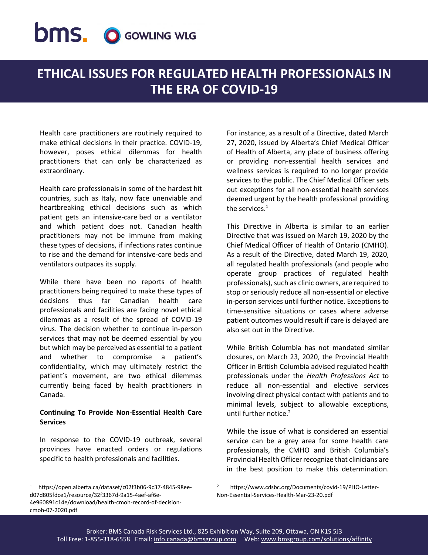## **DMS. O GOWLING WLG**

## **ETHICAL ISSUES FOR REGULATED HEALTH PROFESSIONALS IN THE ERA OF COVID-19**

Health care practitioners are routinely required to make ethical decisions in their practice. COVID-19, however, poses ethical dilemmas for health practitioners that can only be characterized as extraordinary.

Health care professionals in some of the hardest hit countries, such as Italy, now face unenviable and heartbreaking ethical decisions such as which patient gets an intensive-care bed or a ventilator and which patient does not. Canadian health practitioners may not be immune from making these types of decisions, if infections rates continue to rise and the demand for intensive-care beds and ventilators outpaces its supply.

While there have been no reports of health practitioners being required to make these types of decisions thus far Canadian health care professionals and facilities are facing novel ethical dilemmas as a result of the spread of COVID-19 virus. The decision whether to continue in-person services that may not be deemed essential by you but which may be perceived as essential to a patient and whether to compromise a patient's confidentiality, which may ultimately restrict the patient's movement, are two ethical dilemmas currently being faced by health practitioners in Canada.

## **Continuing To Provide Non-Essential Health Care Services**

In response to the COVID-19 outbreak, several provinces have enacted orders or regulations specific to health professionals and facilities.

For instance, as a result of a Directive, dated March 27, 2020, issued by Alberta's Chief Medical Officer of Health of Alberta, any place of business offering or providing non-essential health services and wellness services is required to no longer provide services to the public. The Chief Medical Officer sets out exceptions for all non-essential health services deemed urgent by the health professional providing the services. $1$ 

This Directive in Alberta is similar to an earlier Directive that was issued on March 19, 2020 by the Chief Medical Officer of Health of Ontario (CMHO). As a result of the Directive, dated March 19, 2020, all regulated health professionals (and people who operate group practices of regulated health professionals), such as clinic owners, are required to stop or seriously reduce all non-essential or elective in-person services until further notice. Exceptions to time-sensitive situations or cases where adverse patient outcomes would result if care is delayed are also set out in the Directive.

While British Columbia has not mandated similar closures, on March 23, 2020, the Provincial Health Officer in British Columbia advised regulated health professionals under the *Health Professions Act* to reduce all non-essential and elective services involving direct physical contact with patients and to minimal levels, subject to allowable exceptions, until further notice.<sup>2</sup>

While the issue of what is considered an essential service can be a grey area for some health care professionals, the CMHO and British Columbia's Provincial Health Officer recognize that clinicians are in the best position to make this determination.

 $\overline{a}$ 

<sup>1</sup> https://open.alberta.ca/dataset/c02f3b06-9c37-4845-98eed07d805fdce1/resource/32f3367d-9a15-4aef-af6e-4e960891c14e/download/health-cmoh-record-of-decisioncmoh-07-2020.pdf

<sup>2</sup> https://www.cdsbc.org/Documents/covid-19/PHO-Letter-Non-Essential-Services-Health-Mar-23-20.pdf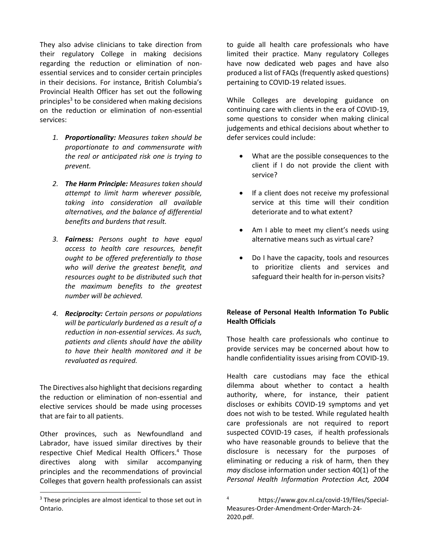They also advise clinicians to take direction from their regulatory College in making decisions regarding the reduction or elimination of nonessential services and to consider certain principles in their decisions. For instance, British Columbia's Provincial Health Officer has set out the following principles<sup>3</sup> to be considered when making decisions on the reduction or elimination of non-essential services:

- *1. Proportionality: Measures taken should be proportionate to and commensurate with the real or anticipated risk one is trying to prevent.*
- *2. The Harm Principle: Measures taken should attempt to limit harm wherever possible, taking into consideration all available alternatives, and the balance of differential benefits and burdens that result.*
- *3. Fairness: Persons ought to have equal access to health care resources, benefit ought to be offered preferentially to those who will derive the greatest benefit, and resources ought to be distributed such that the maximum benefits to the greatest number will be achieved.*
- *4. Reciprocity: Certain persons or populations will be particularly burdened as a result of a reduction in non-essential services. As such, patients and clients should have the ability to have their health monitored and it be revaluated as required.*

The Directives also highlight that decisions regarding the reduction or elimination of non-essential and elective services should be made using processes that are fair to all patients.

Other provinces, such as Newfoundland and Labrador, have issued similar directives by their respective Chief Medical Health Officers.<sup>4</sup> Those directives along with similar accompanying principles and the recommendations of provincial Colleges that govern health professionals can assist

 $\overline{a}$ 

to guide all health care professionals who have limited their practice. Many regulatory Colleges have now dedicated web pages and have also produced a list of FAQs (frequently asked questions) pertaining to COVID-19 related issues.

While Colleges are developing guidance on continuing care with clients in the era of COVID-19, some questions to consider when making clinical judgements and ethical decisions about whether to defer services could include:

- What are the possible consequences to the client if I do not provide the client with service?
- If a client does not receive my professional service at this time will their condition deteriorate and to what extent?
- Am I able to meet my client's needs using alternative means such as virtual care?
- Do I have the capacity, tools and resources to prioritize clients and services and safeguard their health for in-person visits?

## **Release of Personal Health Information To Public Health Officials**

Those health care professionals who continue to provide services may be concerned about how to handle confidentiality issues arising from COVID-19.

Health care custodians may face the ethical dilemma about whether to contact a health authority, where, for instance, their patient discloses or exhibits COVID-19 symptoms and yet does not wish to be tested. While regulated health care professionals are not required to report suspected COVID-19 cases, if health professionals who have reasonable grounds to believe that the disclosure is necessary for the purposes of eliminating or reducing a risk of harm, then they *may* disclose information under section 40(1) of the *Personal Health Information Protection Act, 2004* 

<sup>&</sup>lt;sup>3</sup> These principles are almost identical to those set out in Ontario.

https://www.gov.nl.ca/covid-19/files/Special-Measures-Order-Amendment-Order-March-24- 2020.pdf.